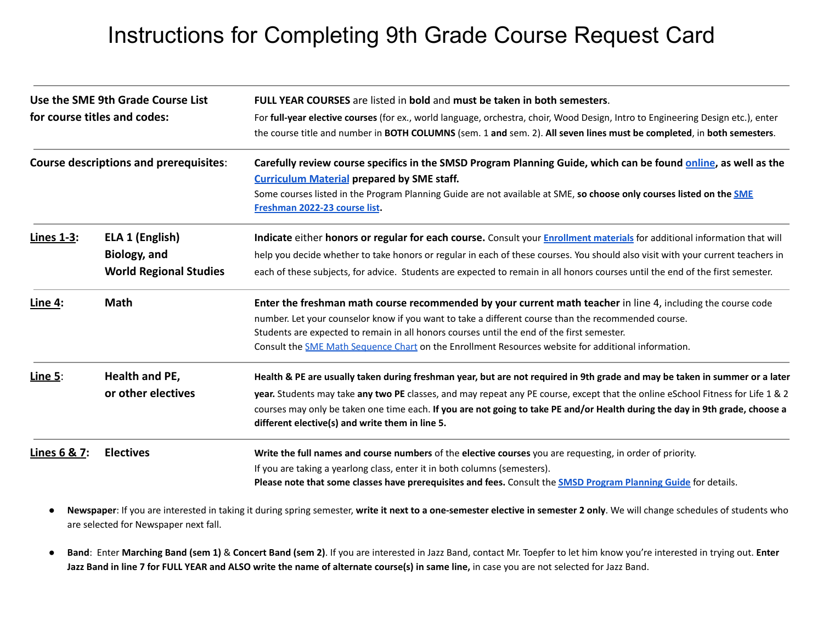## Instructions for Completing 9th Grade Course Request Card

| Use the SME 9th Grade Course List<br>for course titles and codes:<br><b>Course descriptions and prerequisites:</b> |                                      | <b>FULL YEAR COURSES</b> are listed in <b>bold</b> and must be taken in both semesters.<br>For full-year elective courses (for ex., world language, orchestra, choir, Wood Design, Intro to Engineering Design etc.), enter<br>the course title and number in BOTH COLUMNS (sem. 1 and sem. 2). All seven lines must be completed, in both semesters.<br>Carefully review course specifics in the SMSD Program Planning Guide, which can be found online, as well as the<br><b>Curriculum Material prepared by SME staff.</b><br>Some courses listed in the Program Planning Guide are not available at SME, so choose only courses listed on the SME<br>Freshman 2022-23 course list. |
|--------------------------------------------------------------------------------------------------------------------|--------------------------------------|----------------------------------------------------------------------------------------------------------------------------------------------------------------------------------------------------------------------------------------------------------------------------------------------------------------------------------------------------------------------------------------------------------------------------------------------------------------------------------------------------------------------------------------------------------------------------------------------------------------------------------------------------------------------------------------|
|                                                                                                                    |                                      |                                                                                                                                                                                                                                                                                                                                                                                                                                                                                                                                                                                                                                                                                        |
| Line 4:                                                                                                            | <b>Math</b>                          | Enter the freshman math course recommended by your current math teacher in line 4, including the course code<br>number. Let your counselor know if you want to take a different course than the recommended course.<br>Students are expected to remain in all honors courses until the end of the first semester.<br>Consult the <b>SME Math Sequence Chart</b> on the Enrollment Resources website for additional information.                                                                                                                                                                                                                                                        |
| Line $5$ :                                                                                                         | Health and PE,<br>or other electives | Health & PE are usually taken during freshman year, but are not required in 9th grade and may be taken in summer or a later<br>year. Students may take any two PE classes, and may repeat any PE course, except that the online eSchool Fitness for Life 1 & 2<br>courses may only be taken one time each. If you are not going to take PE and/or Health during the day in 9th grade, choose a<br>different elective(s) and write them in line 5.                                                                                                                                                                                                                                      |
| Lines 6 & 7:                                                                                                       | <b>Electives</b>                     | Write the full names and course numbers of the elective courses you are requesting, in order of priority.<br>If you are taking a yearlong class, enter it in both columns (semesters).<br>Please note that some classes have prerequisites and fees. Consult the SMSD Program Planning Guide for details.                                                                                                                                                                                                                                                                                                                                                                              |

• Newspaper: If you are interested in taking it during spring semester, write it next to a one-semester elective in semester 2 only. We will change schedules of students who are selected for Newspaper next fall.

• Band: Enter Marching Band (sem 1) & Concert Band (sem 2). If you are interested in Jazz Band, contact Mr. Toepfer to let him know you're interested in trying out. Enter Jazz Band in line 7 for FULL YEAR and ALSO write the name of alternate course(s) in same line, in case you are not selected for Jazz Band.